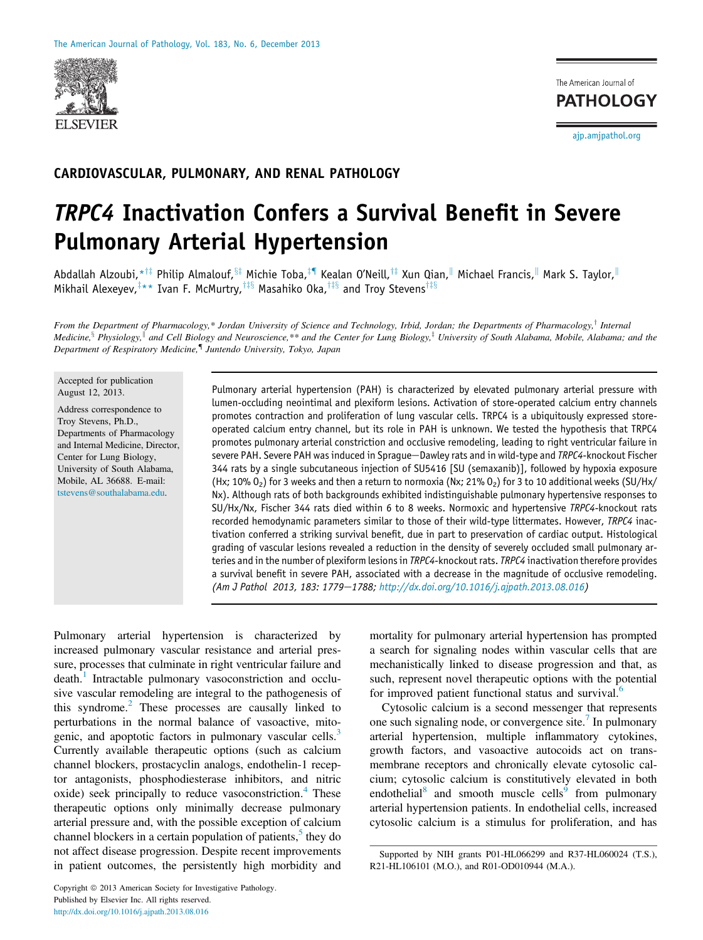

The American Journal of **PATHOLOGY** 

ajp.amjpathol.org

# CARDIOVASCULAR, PULMONARY, AND RENAL PATHOLOGY

# TRPC4 Inactivation Confers a Survival Benefit in Severe Pulmonary Arterial Hypertension

Abdallah Alzoubi,\*<sup>†‡</sup> Philip Almalouf,<sup>§‡</sup> Michie Toba,<sup>‡¶</sup> Kealan O'Neill,<sup>†‡</sup> Xun Qian,<sup>∥</sup> Michael Francis,<sup>∥</sup> Mark S. Taylor,<sup>∥</sup> Mikhail Alexeyev, $^{\ddagger \star \star}$  Ivan F. McMurtry, $^{\dagger \ddagger \S}$  Masahiko Oka, $^{\dagger \ddagger \S}$  and Troy Stevens $^{\dagger \ddagger \S}$ 

From the Department of Pharmacology,\* Jordan University of Science and Technology, Irbid, Jordan; the Departments of Pharmacology,<sup>†</sup> Internal Medicine,  $\S$  Physiology,  $\parallel$  and Cell Biology and Neuroscience,\*\* and the Center for Lung Biology, $\frac{1}{r}$  University of South Alabama, Mobile, Alabama; and the Department of Respiratory Medicine,<sup>¶</sup> Juntendo University, Tokyo, Japan

Accepted for publication August 12, 2013.

Address correspondence to Troy Stevens, Ph.D., Departments of Pharmacology and Internal Medicine, Director, Center for Lung Biology, University of South Alabama, Mobile, AL 36688. E-mail: tstevens@southalabama.edu.

Pulmonary arterial hypertension (PAH) is characterized by elevated pulmonary arterial pressure with lumen-occluding neointimal and plexiform lesions. Activation of store-operated calcium entry channels promotes contraction and proliferation of lung vascular cells. TRPC4 is a ubiquitously expressed storeoperated calcium entry channel, but its role in PAH is unknown. We tested the hypothesis that TRPC4 promotes pulmonary arterial constriction and occlusive remodeling, leading to right ventricular failure in severe PAH. Severe PAH was induced in Sprague-Dawley rats and in wild-type and *TRPC4*-knockout Fischer 344 rats by a single subcutaneous injection of SU5416 [SU (semaxanib)], followed by hypoxia exposure (Hx; 10% O<sub>2</sub>) for 3 weeks and then a return to normoxia (Nx; 21% O<sub>2</sub>) for 3 to 10 additional weeks (SU/Hx/ Nx). Although rats of both backgrounds exhibited indistinguishable pulmonary hypertensive responses to SU/Hx/Nx, Fischer 344 rats died within 6 to 8 weeks. Normoxic and hypertensive *TRPC4*-knockout rats recorded hemodynamic parameters similar to those of their wild-type littermates. However, *TRPC4* inactivation conferred a striking survival benefit, due in part to preservation of cardiac output. Histological grading of vascular lesions revealed a reduction in the density of severely occluded small pulmonary arteries and in the number of plexiform lesions in *TRPC4*-knockout rats. *TRPC4* inactivation therefore provides a survival benefit in severe PAH, associated with a decrease in the magnitude of occlusive remodeling. *(Am J Pathol 2013, 183: 1779*e*1788; http://dx.doi.org/10.1016/j.ajpath.2013.08.016)*

Pulmonary arterial hypertension is characterized by increased pulmonary vascular resistance and arterial pressure, processes that culminate in right ventricular failure and death.<sup>1</sup> Intractable pulmonary vasoconstriction and occlusive vascular remodeling are integral to the pathogenesis of this syndrome.<sup>2</sup> These processes are causally linked to perturbations in the normal balance of vasoactive, mitogenic, and apoptotic factors in pulmonary vascular cells.<sup>3</sup> Currently available therapeutic options (such as calcium channel blockers, prostacyclin analogs, endothelin-1 receptor antagonists, phosphodiesterase inhibitors, and nitric oxide) seek principally to reduce vasoconstriction.<sup>4</sup> These therapeutic options only minimally decrease pulmonary arterial pressure and, with the possible exception of calcium channel blockers in a certain population of patients,<sup>5</sup> they do not affect disease progression. Despite recent improvements in patient outcomes, the persistently high morbidity and

mortality for pulmonary arterial hypertension has prompted a search for signaling nodes within vascular cells that are mechanistically linked to disease progression and that, as such, represent novel therapeutic options with the potential for improved patient functional status and survival.<sup>6</sup>

Cytosolic calcium is a second messenger that represents one such signaling node, or convergence site.<sup>7</sup> In pulmonary arterial hypertension, multiple inflammatory cytokines, growth factors, and vasoactive autocoids act on transmembrane receptors and chronically elevate cytosolic calcium; cytosolic calcium is constitutively elevated in both endothelial<sup>8</sup> and smooth muscle cells<sup>9</sup> from pulmonary arterial hypertension patients. In endothelial cells, increased cytosolic calcium is a stimulus for proliferation, and has

Supported by NIH grants P01-HL066299 and R37-HL060024 (T.S.), R21-HL106101 (M.O.), and R01-OD010944 (M.A.).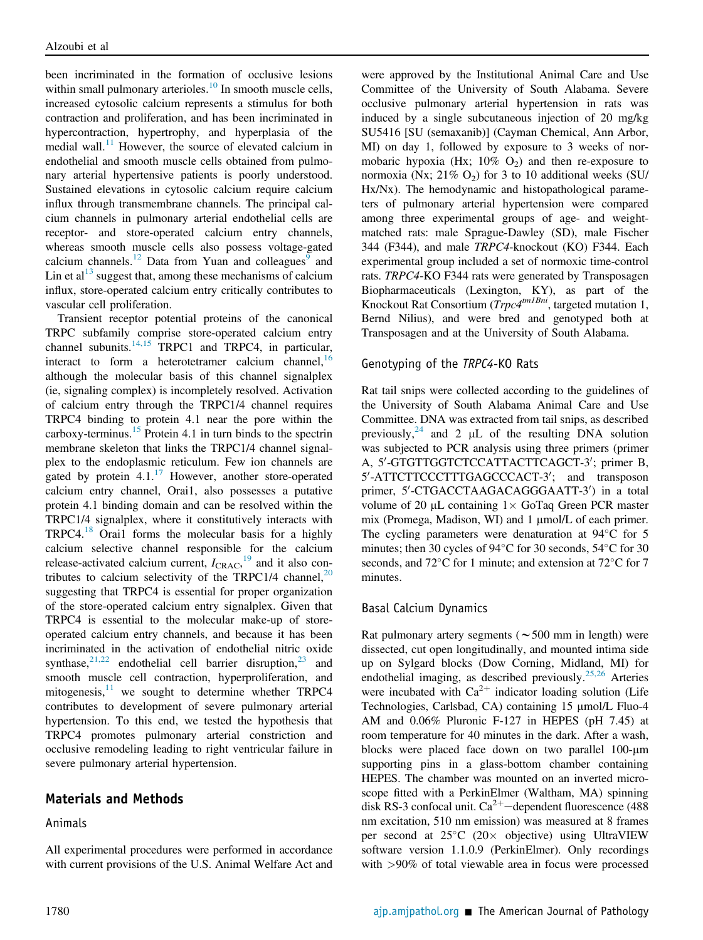been incriminated in the formation of occlusive lesions within small pulmonary arterioles. $^{10}$  In smooth muscle cells, increased cytosolic calcium represents a stimulus for both contraction and proliferation, and has been incriminated in hypercontraction, hypertrophy, and hyperplasia of the medial wall. $11$  However, the source of elevated calcium in endothelial and smooth muscle cells obtained from pulmonary arterial hypertensive patients is poorly understood. Sustained elevations in cytosolic calcium require calcium influx through transmembrane channels. The principal calcium channels in pulmonary arterial endothelial cells are receptor- and store-operated calcium entry channels, whereas smooth muscle cells also possess voltage-gated calcium channels.<sup>12</sup> Data from Yuan and colleagues<sup>9</sup> and Lin et  $al<sup>13</sup>$  suggest that, among these mechanisms of calcium influx, store-operated calcium entry critically contributes to vascular cell proliferation.

Transient receptor potential proteins of the canonical TRPC subfamily comprise store-operated calcium entry channel subunits.<sup>14,15</sup> TRPC1 and TRPC4, in particular, interact to form a heterotetramer calcium channel,  $16$ although the molecular basis of this channel signalplex (ie, signaling complex) is incompletely resolved. Activation of calcium entry through the TRPC1/4 channel requires TRPC4 binding to protein 4.1 near the pore within the carboxy-terminus.<sup>15</sup> Protein 4.1 in turn binds to the spectrin membrane skeleton that links the TRPC1/4 channel signalplex to the endoplasmic reticulum. Few ion channels are gated by protein  $4.1^{17}$  However, another store-operated calcium entry channel, Orai1, also possesses a putative protein 4.1 binding domain and can be resolved within the TRPC1/4 signalplex, where it constitutively interacts with TRPC4.<sup>18</sup> Orai1 forms the molecular basis for a highly calcium selective channel responsible for the calcium release-activated calcium current,  $I_{\text{CRAC}}$ , <sup>19</sup> and it also contributes to calcium selectivity of the TRPC1/4 channel, $^{20}$ suggesting that TRPC4 is essential for proper organization of the store-operated calcium entry signalplex. Given that TRPC4 is essential to the molecular make-up of storeoperated calcium entry channels, and because it has been incriminated in the activation of endothelial nitric oxide synthase, $2^{1,22}$  endothelial cell barrier disruption, $2^3$  and smooth muscle cell contraction, hyperproliferation, and mitogenesis, $11$  we sought to determine whether TRPC4 contributes to development of severe pulmonary arterial hypertension. To this end, we tested the hypothesis that TRPC4 promotes pulmonary arterial constriction and occlusive remodeling leading to right ventricular failure in severe pulmonary arterial hypertension.

# Materials and Methods

#### Animals

All experimental procedures were performed in accordance with current provisions of the U.S. Animal Welfare Act and

were approved by the Institutional Animal Care and Use Committee of the University of South Alabama. Severe occlusive pulmonary arterial hypertension in rats was induced by a single subcutaneous injection of 20 mg/kg SU5416 [SU (semaxanib)] (Cayman Chemical, Ann Arbor, MI) on day 1, followed by exposure to 3 weeks of normobaric hypoxia (Hx;  $10\%$  O<sub>2</sub>) and then re-exposure to normoxia (Nx;  $21\%$  O<sub>2</sub>) for 3 to 10 additional weeks (SU/ Hx/Nx). The hemodynamic and histopathological parameters of pulmonary arterial hypertension were compared among three experimental groups of age- and weightmatched rats: male Sprague-Dawley (SD), male Fischer 344 (F344), and male TRPC4-knockout (KO) F344. Each experimental group included a set of normoxic time-control rats. TRPC4-KO F344 rats were generated by Transposagen Biopharmaceuticals (Lexington, KY), as part of the Knockout Rat Consortium ( $Trpc4^{tm1Bni}$ , targeted mutation 1, Bernd Nilius), and were bred and genotyped both at Transposagen and at the University of South Alabama.

#### Genotyping of the *TRPC4*-KO Rats

Rat tail snips were collected according to the guidelines of the University of South Alabama Animal Care and Use Committee. DNA was extracted from tail snips, as described previously,  $24$  and 2 µL of the resulting DNA solution was subjected to PCR analysis using three primers (primer A, 5'-GTGTTGGTCTCCATTACTTCAGCT-3'; primer B, 5'-ATTCTTCCCTTTGAGCCCACT-3'; and transposon primer, 5'-CTGACCTAAGACAGGGAATT-3') in a total volume of 20  $\mu$ L containing  $1 \times$  GoTaq Green PCR master mix (Promega, Madison, WI) and 1 µmol/L of each primer. The cycling parameters were denaturation at  $94^{\circ}$ C for 5 minutes; then 30 cycles of  $94^{\circ}$ C for 30 seconds,  $54^{\circ}$ C for 30 seconds, and  $72^{\circ}$ C for 1 minute; and extension at  $72^{\circ}$ C for 7 minutes.

#### Basal Calcium Dynamics

Rat pulmonary artery segments ( $\sim$  500 mm in length) were dissected, cut open longitudinally, and mounted intima side up on Sylgard blocks (Dow Corning, Midland, MI) for endothelial imaging, as described previously.<sup>25,26</sup> Arteries were incubated with  $Ca^{2+}$  indicator loading solution (Life Technologies, Carlsbad, CA) containing 15 µmol/L Fluo-4 AM and 0.06% Pluronic F-127 in HEPES (pH 7.45) at room temperature for 40 minutes in the dark. After a wash, blocks were placed face down on two parallel 100-µm supporting pins in a glass-bottom chamber containing HEPES. The chamber was mounted on an inverted microscope fitted with a PerkinElmer (Waltham, MA) spinning disk RS-3 confocal unit.  $Ca^{2+}$ -dependent fluorescence (488) nm excitation, 510 nm emission) was measured at 8 frames per second at  $25^{\circ}$ C (20 $\times$  objective) using UltraVIEW software version 1.1.0.9 (PerkinElmer). Only recordings with  $>90\%$  of total viewable area in focus were processed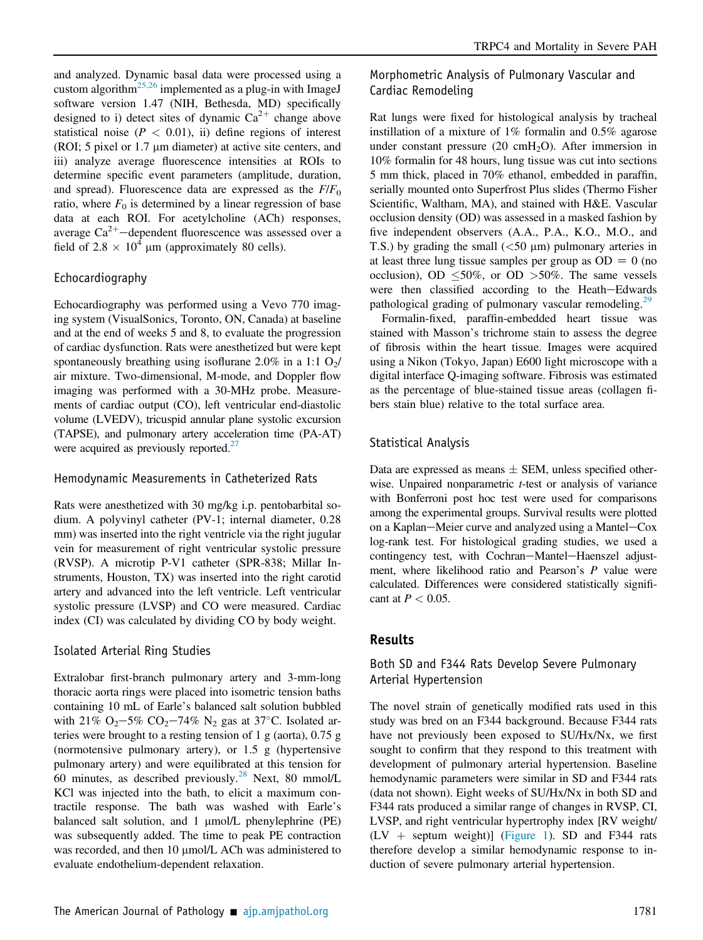and analyzed. Dynamic basal data were processed using a custom algorithm<sup>25,26</sup> implemented as a plug-in with ImageJ software version 1.47 (NIH, Bethesda, MD) specifically designed to i) detect sites of dynamic  $Ca^{2+}$  change above statistical noise ( $P < 0.01$ ), ii) define regions of interest (ROI; 5 pixel or  $1.7 \mu m$  diameter) at active site centers, and iii) analyze average fluorescence intensities at ROIs to determine specific event parameters (amplitude, duration, and spread). Fluorescence data are expressed as the  $F/F<sub>0</sub>$ ratio, where  $F_0$  is determined by a linear regression of base data at each ROI. For acetylcholine (ACh) responses, average  $Ca^{2+}-$ dependent fluorescence was assessed over a field of 2.8  $\times$  10<sup>4</sup> µm (approximately 80 cells).

#### Echocardiography

Echocardiography was performed using a Vevo 770 imaging system (VisualSonics, Toronto, ON, Canada) at baseline and at the end of weeks 5 and 8, to evaluate the progression of cardiac dysfunction. Rats were anesthetized but were kept spontaneously breathing using isoflurane 2.0% in a 1:1  $O_2/$ air mixture. Two-dimensional, M-mode, and Doppler flow imaging was performed with a 30-MHz probe. Measurements of cardiac output (CO), left ventricular end-diastolic volume (LVEDV), tricuspid annular plane systolic excursion (TAPSE), and pulmonary artery acceleration time (PA-AT) were acquired as previously reported.<sup>27</sup>

#### Hemodynamic Measurements in Catheterized Rats

Rats were anesthetized with 30 mg/kg i.p. pentobarbital sodium. A polyvinyl catheter (PV-1; internal diameter, 0.28 mm) was inserted into the right ventricle via the right jugular vein for measurement of right ventricular systolic pressure (RVSP). A microtip P-V1 catheter (SPR-838; Millar Instruments, Houston, TX) was inserted into the right carotid artery and advanced into the left ventricle. Left ventricular systolic pressure (LVSP) and CO were measured. Cardiac index (CI) was calculated by dividing CO by body weight.

#### Isolated Arterial Ring Studies

Extralobar first-branch pulmonary artery and 3-mm-long thoracic aorta rings were placed into isometric tension baths containing 10 mL of Earle's balanced salt solution bubbled with 21% O<sub>2</sub>-5% CO<sub>2</sub>-74% N<sub>2</sub> gas at 37°C. Isolated arteries were brought to a resting tension of 1 g (aorta), 0.75 g (normotensive pulmonary artery), or 1.5 g (hypertensive pulmonary artery) and were equilibrated at this tension for 60 minutes, as described previously. $^{28}$  Next, 80 mmol/L KCl was injected into the bath, to elicit a maximum contractile response. The bath was washed with Earle's balanced salt solution, and 1 µmol/L phenylephrine (PE) was subsequently added. The time to peak PE contraction was recorded, and then 10 µmol/L ACh was administered to evaluate endothelium-dependent relaxation.

Morphometric Analysis of Pulmonary Vascular and Cardiac Remodeling

Rat lungs were fixed for histological analysis by tracheal instillation of a mixture of 1% formalin and 0.5% agarose under constant pressure  $(20 \text{ cmH}_2\text{O})$ . After immersion in 10% formalin for 48 hours, lung tissue was cut into sections 5 mm thick, placed in 70% ethanol, embedded in paraffin, serially mounted onto Superfrost Plus slides (Thermo Fisher Scientific, Waltham, MA), and stained with H&E. Vascular occlusion density (OD) was assessed in a masked fashion by five independent observers (A.A., P.A., K.O., M.O., and T.S.) by grading the small  $(<50 \mu m)$  pulmonary arteries in at least three lung tissue samples per group as  $OD = 0$  (no occlusion), OD  $\leq 50\%$ , or OD  $>50\%$ . The same vessels were then classified according to the Heath-Edwards pathological grading of pulmonary vascular remodeling.<sup>29</sup>

Formalin-fixed, paraffin-embedded heart tissue was stained with Masson's trichrome stain to assess the degree of fibrosis within the heart tissue. Images were acquired using a Nikon (Tokyo, Japan) E600 light microscope with a digital interface Q-imaging software. Fibrosis was estimated as the percentage of blue-stained tissue areas (collagen fibers stain blue) relative to the total surface area.

#### Statistical Analysis

Data are expressed as means  $\pm$  SEM, unless specified otherwise. Unpaired nonparametric *t*-test or analysis of variance with Bonferroni post hoc test were used for comparisons among the experimental groups. Survival results were plotted on a Kaplan-Meier curve and analyzed using a Mantel-Cox log-rank test. For histological grading studies, we used a contingency test, with Cochran-Mantel-Haenszel adjustment, where likelihood ratio and Pearson's P value were calculated. Differences were considered statistically significant at  $P < 0.05$ .

#### Results

## Both SD and F344 Rats Develop Severe Pulmonary Arterial Hypertension

The novel strain of genetically modified rats used in this study was bred on an F344 background. Because F344 rats have not previously been exposed to SU/Hx/Nx, we first sought to confirm that they respond to this treatment with development of pulmonary arterial hypertension. Baseline hemodynamic parameters were similar in SD and F344 rats (data not shown). Eight weeks of SU/Hx/Nx in both SD and F344 rats produced a similar range of changes in RVSP, CI, LVSP, and right ventricular hypertrophy index [RV weight/  $(LV +$  septum weight)] (Figure 1). SD and F344 rats therefore develop a similar hemodynamic response to induction of severe pulmonary arterial hypertension.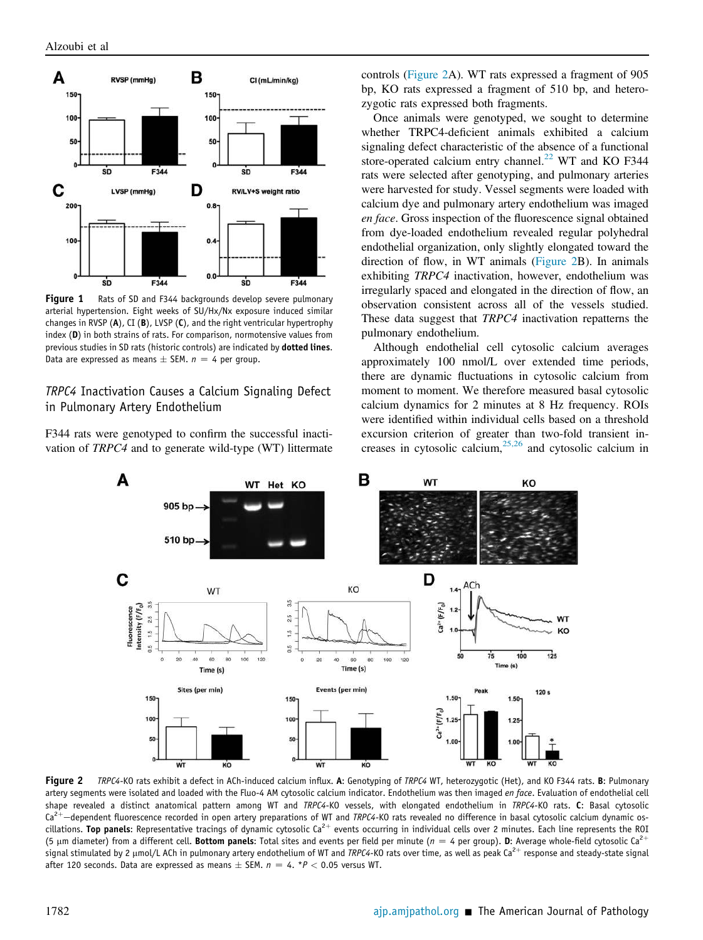

Figure 1 Rats of SD and F344 backgrounds develop severe pulmonary arterial hypertension. Eight weeks of SU/Hx/Nx exposure induced similar changes in RVSP (A), CI (B), LVSP (C), and the right ventricular hypertrophy index (D) in both strains of rats. For comparison, normotensive values from previous studies in SD rats (historic controls) are indicated by dotted lines. Data are expressed as means  $\pm$  SEM.  $n = 4$  per group.

## *TRPC4* Inactivation Causes a Calcium Signaling Defect in Pulmonary Artery Endothelium

F344 rats were genotyped to confirm the successful inactivation of TRPC4 and to generate wild-type (WT) littermate controls (Figure 2A). WT rats expressed a fragment of 905 bp, KO rats expressed a fragment of 510 bp, and heterozygotic rats expressed both fragments.

Once animals were genotyped, we sought to determine whether TRPC4-deficient animals exhibited a calcium signaling defect characteristic of the absence of a functional store-operated calcium entry channel.<sup>22</sup> WT and KO F344 rats were selected after genotyping, and pulmonary arteries were harvested for study. Vessel segments were loaded with calcium dye and pulmonary artery endothelium was imaged en face. Gross inspection of the fluorescence signal obtained from dye-loaded endothelium revealed regular polyhedral endothelial organization, only slightly elongated toward the direction of flow, in WT animals (Figure 2B). In animals exhibiting TRPC4 inactivation, however, endothelium was irregularly spaced and elongated in the direction of flow, an observation consistent across all of the vessels studied. These data suggest that TRPC4 inactivation repatterns the pulmonary endothelium.

Although endothelial cell cytosolic calcium averages approximately 100 nmol/L over extended time periods, there are dynamic fluctuations in cytosolic calcium from moment to moment. We therefore measured basal cytosolic calcium dynamics for 2 minutes at 8 Hz frequency. ROIs were identified within individual cells based on a threshold excursion criterion of greater than two-fold transient increases in cytosolic calcium,<sup>25,26</sup> and cytosolic calcium in



Figure 2 *TRPC4*-KO rats exhibit a defect in ACh-induced calcium influx. A: Genotyping of *TRPC4* WT, heterozygotic (Het), and KO F344 rats. B: Pulmonary artery segments were isolated and loaded with the Fluo-4 AM cytosolic calcium indicator. Endothelium was then imaged *en face*. Evaluation of endothelial cell shape revealed a distinct anatomical pattern among WT and *TRPC4*-KO vessels, with elongated endothelium in *TRPC4*-KO rats. C: Basal cytosolic Ca<sup>2+</sup>-dependent fluorescence recorded in open artery preparations of WT and *TRPC4*-KO rats revealed no difference in basal cytosolic calcium dynamic oscillations. Top panels: Representative tracings of dynamic cytosolic Ca<sup>2+</sup> events occurring in individual cells over 2 minutes. Each line represents the ROI (5  $\mu$ m diameter) from a different cell. Bottom panels: Total sites and events per field per minute ( $n = 4$  per group). D: Average whole-field cytosolic Ca<sup>2+</sup> signal stimulated by 2 μmol/L ACh in pulmonary artery endothelium of WT and *TRPC4-*KO rats over time, as well as peak Ca<sup>2+</sup> response and steady-state signal after 120 seconds. Data are expressed as means  $\pm$  SEM.  $n = 4$ . \* $P < 0.05$  versus WT.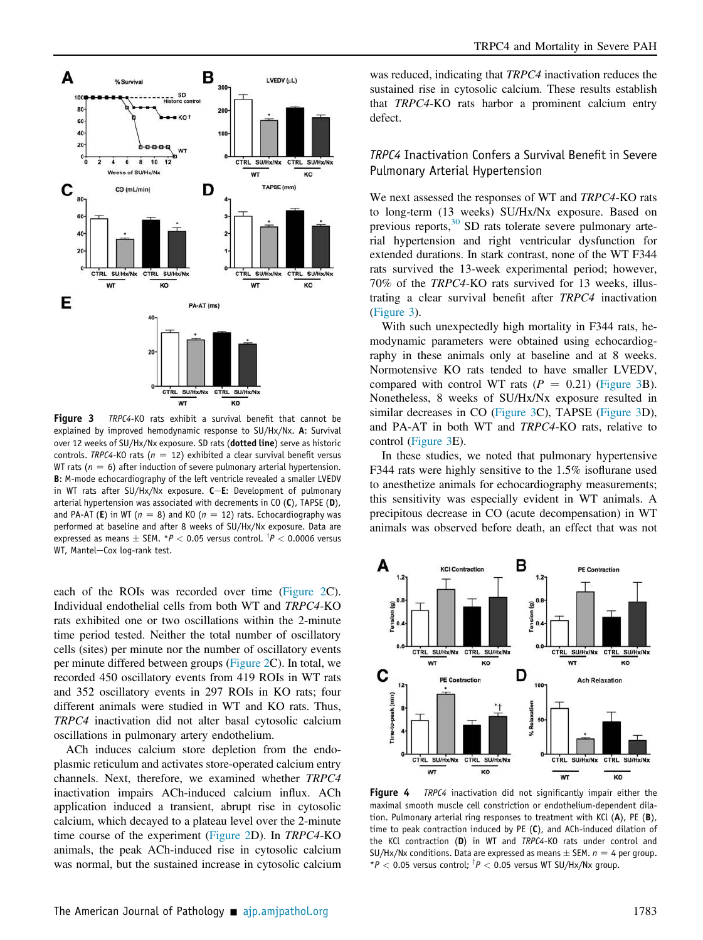

Figure 3 *TRPC4*-KO rats exhibit a survival benefit that cannot be explained by improved hemodynamic response to SU/Hx/Nx. A: Survival over 12 weeks of SU/Hx/Nx exposure. SD rats (dotted line) serve as historic controls. *TRPC4*-KO rats ( $n = 12$ ) exhibited a clear survival benefit versus WT rats ( $n = 6$ ) after induction of severe pulmonary arterial hypertension. B: M-mode echocardiography of the left ventricle revealed a smaller LVEDV in WT rats after SU/Hx/Nx exposure.  $C$ -E: Development of pulmonary arterial hypertension was associated with decrements in  $CO$  (C), TAPSE (D), and PA-AT (E) in WT ( $n = 8$ ) and KO ( $n = 12$ ) rats. Echocardiography was performed at baseline and after 8 weeks of SU/Hx/Nx exposure. Data are expressed as means  $\pm$  SEM. \* $P <$  0.05 versus control.  $^\dagger P <$  0.0006 versus WT, Mantel-Cox log-rank test.

each of the ROIs was recorded over time (Figure 2C). Individual endothelial cells from both WT and TRPC4-KO rats exhibited one or two oscillations within the 2-minute time period tested. Neither the total number of oscillatory cells (sites) per minute nor the number of oscillatory events per minute differed between groups (Figure 2C). In total, we recorded 450 oscillatory events from 419 ROIs in WT rats and 352 oscillatory events in 297 ROIs in KO rats; four different animals were studied in WT and KO rats. Thus, TRPC4 inactivation did not alter basal cytosolic calcium oscillations in pulmonary artery endothelium.

ACh induces calcium store depletion from the endoplasmic reticulum and activates store-operated calcium entry channels. Next, therefore, we examined whether TRPC4 inactivation impairs ACh-induced calcium influx. ACh application induced a transient, abrupt rise in cytosolic calcium, which decayed to a plateau level over the 2-minute time course of the experiment (Figure 2D). In TRPC4-KO animals, the peak ACh-induced rise in cytosolic calcium was normal, but the sustained increase in cytosolic calcium was reduced, indicating that TRPC4 inactivation reduces the sustained rise in cytosolic calcium. These results establish that TRPC4-KO rats harbor a prominent calcium entry defect.

## *TRPC4* Inactivation Confers a Survival Benefit in Severe Pulmonary Arterial Hypertension

We next assessed the responses of WT and TRPC4-KO rats to long-term (13 weeks) SU/Hx/Nx exposure. Based on previous reports,<sup>30</sup> SD rats tolerate severe pulmonary arterial hypertension and right ventricular dysfunction for extended durations. In stark contrast, none of the WT F344 rats survived the 13-week experimental period; however, 70% of the TRPC4-KO rats survived for 13 weeks, illustrating a clear survival benefit after TRPC4 inactivation (Figure 3).

With such unexpectedly high mortality in F344 rats, hemodynamic parameters were obtained using echocardiography in these animals only at baseline and at 8 weeks. Normotensive KO rats tended to have smaller LVEDV, compared with control WT rats  $(P = 0.21)$  (Figure 3B). Nonetheless, 8 weeks of SU/Hx/Nx exposure resulted in similar decreases in CO (Figure 3C), TAPSE (Figure 3D), and PA-AT in both WT and TRPC4-KO rats, relative to control (Figure 3E).

In these studies, we noted that pulmonary hypertensive F344 rats were highly sensitive to the 1.5% isoflurane used to anesthetize animals for echocardiography measurements; this sensitivity was especially evident in WT animals. A precipitous decrease in CO (acute decompensation) in WT animals was observed before death, an effect that was not



Figure 4 *TRPC4* inactivation did not significantly impair either the maximal smooth muscle cell constriction or endothelium-dependent dilation. Pulmonary arterial ring responses to treatment with KCl (A), PE (B), time to peak contraction induced by PE (C), and ACh-induced dilation of the KCl contraction (D) in WT and *TRPC4*-KO rats under control and SU/Hx/Nx conditions. Data are expressed as means  $\pm$  SEM.  $n = 4$  per group.  $*P < 0.05$  versus control;  $^{\dagger}P < 0.05$  versus WT SU/Hx/Nx group.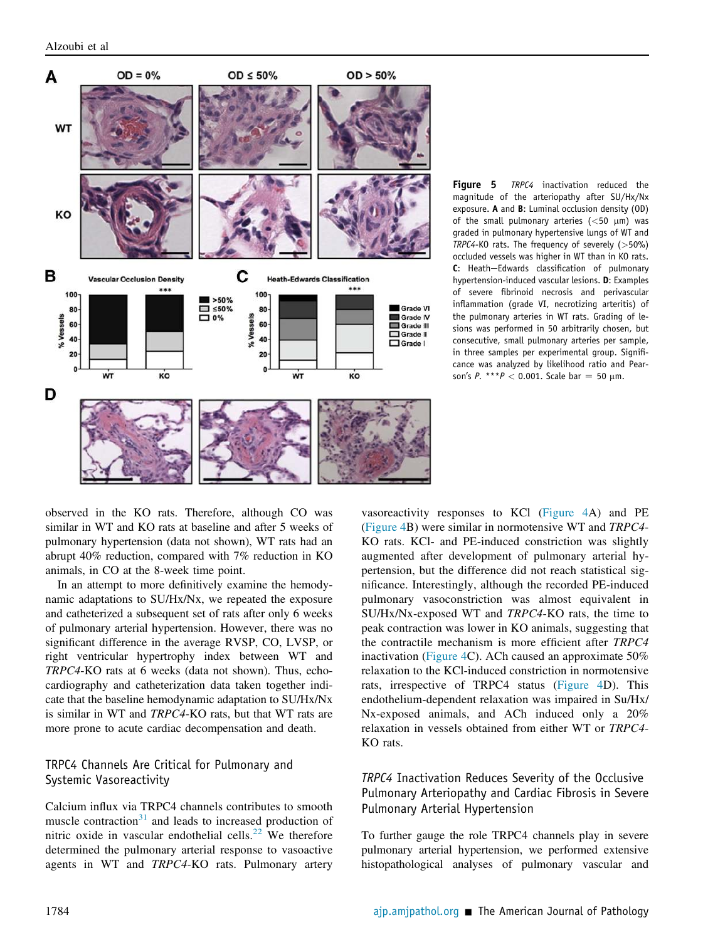

Figure 5 *TRPC4* inactivation reduced the magnitude of the arteriopathy after SU/Hx/Nx exposure. A and B: Luminal occlusion density (OD) of the small pulmonary arteries ( $<$ 50  $\mu$ m) was graded in pulmonary hypertensive lungs of WT and *TRPC4*-KO rats. The frequency of severely (>50%) occluded vessels was higher in WT than in KO rats. C: Heath-Edwards classification of pulmonary hypertension-induced vascular lesions. D: Examples of severe fibrinoid necrosis and perivascular inflammation (grade VI, necrotizing arteritis) of the pulmonary arteries in WT rats. Grading of lesions was performed in 50 arbitrarily chosen, but consecutive, small pulmonary arteries per sample, in three samples per experimental group. Significance was analyzed by likelihood ratio and Pearson's *P*. \*\*\**P* < 0.001. Scale bar = 50  $\mu$ m.

observed in the KO rats. Therefore, although CO was similar in WT and KO rats at baseline and after 5 weeks of pulmonary hypertension (data not shown), WT rats had an abrupt 40% reduction, compared with 7% reduction in KO animals, in CO at the 8-week time point.

In an attempt to more definitively examine the hemodynamic adaptations to SU/Hx/Nx, we repeated the exposure and catheterized a subsequent set of rats after only 6 weeks of pulmonary arterial hypertension. However, there was no significant difference in the average RVSP, CO, LVSP, or right ventricular hypertrophy index between WT and TRPC4-KO rats at 6 weeks (data not shown). Thus, echocardiography and catheterization data taken together indicate that the baseline hemodynamic adaptation to SU/Hx/Nx is similar in WT and TRPC4-KO rats, but that WT rats are more prone to acute cardiac decompensation and death.

## TRPC4 Channels Are Critical for Pulmonary and Systemic Vasoreactivity

Calcium influx via TRPC4 channels contributes to smooth muscle contraction $31$  and leads to increased production of nitric oxide in vascular endothelial cells.<sup>22</sup> We therefore determined the pulmonary arterial response to vasoactive agents in WT and TRPC4-KO rats. Pulmonary artery vasoreactivity responses to KCl (Figure 4A) and PE (Figure 4B) were similar in normotensive WT and TRPC4- KO rats. KCl- and PE-induced constriction was slightly augmented after development of pulmonary arterial hypertension, but the difference did not reach statistical significance. Interestingly, although the recorded PE-induced pulmonary vasoconstriction was almost equivalent in SU/Hx/Nx-exposed WT and TRPC4-KO rats, the time to peak contraction was lower in KO animals, suggesting that the contractile mechanism is more efficient after TRPC4 inactivation (Figure 4C). ACh caused an approximate 50% relaxation to the KCl-induced constriction in normotensive rats, irrespective of TRPC4 status (Figure 4D). This endothelium-dependent relaxation was impaired in Su/Hx/ Nx-exposed animals, and ACh induced only a 20% relaxation in vessels obtained from either WT or TRPC4- KO rats.

# *TRPC4* Inactivation Reduces Severity of the Occlusive Pulmonary Arteriopathy and Cardiac Fibrosis in Severe Pulmonary Arterial Hypertension

To further gauge the role TRPC4 channels play in severe pulmonary arterial hypertension, we performed extensive histopathological analyses of pulmonary vascular and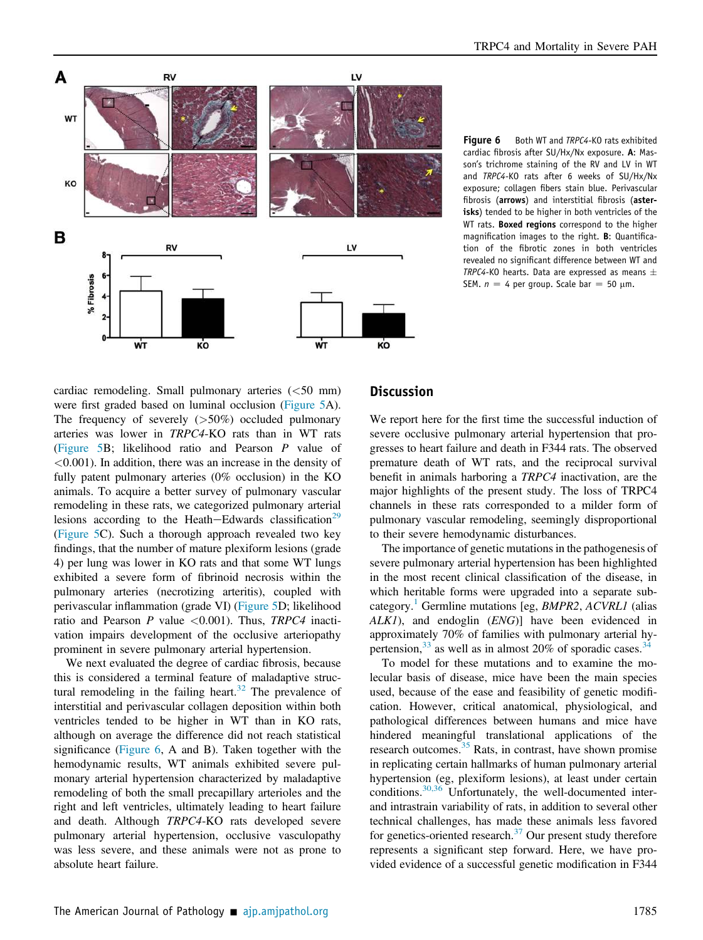

Figure 6 Both WT and *TRPC4-KO* rats exhibited cardiac fibrosis after SU/Hx/Nx exposure. A: Masson's trichrome staining of the RV and LV in WT and *TRPC4*-KO rats after 6 weeks of SU/Hx/Nx exposure; collagen fibers stain blue. Perivascular fibrosis (arrows) and interstitial fibrosis (asterisks) tended to be higher in both ventricles of the WT rats. Boxed regions correspond to the higher magnification images to the right. B: Quantification of the fibrotic zones in both ventricles revealed no significant difference between WT and *TRPC4*-KO hearts. Data are expressed as means SEM.  $n = 4$  per group. Scale bar = 50  $\mu$ m.

cardiac remodeling. Small pulmonary arteries  $(<50$  mm) were first graded based on luminal occlusion (Figure 5A). The frequency of severely  $(>50\%)$  occluded pulmonary arteries was lower in TRPC4-KO rats than in WT rats (Figure 5B; likelihood ratio and Pearson P value of <0.001). In addition, there was an increase in the density of fully patent pulmonary arteries (0% occlusion) in the KO animals. To acquire a better survey of pulmonary vascular remodeling in these rats, we categorized pulmonary arterial lesions according to the Heath-Edwards classification<sup>29</sup> (Figure 5C). Such a thorough approach revealed two key findings, that the number of mature plexiform lesions (grade 4) per lung was lower in KO rats and that some WT lungs exhibited a severe form of fibrinoid necrosis within the pulmonary arteries (necrotizing arteritis), coupled with perivascular inflammation (grade VI) (Figure 5D; likelihood ratio and Pearson  $P$  value <0.001). Thus,  $TRPC4$  inactivation impairs development of the occlusive arteriopathy prominent in severe pulmonary arterial hypertension.

We next evaluated the degree of cardiac fibrosis, because this is considered a terminal feature of maladaptive structural remodeling in the failing heart.<sup>32</sup> The prevalence of interstitial and perivascular collagen deposition within both ventricles tended to be higher in WT than in KO rats, although on average the difference did not reach statistical significance (Figure 6, A and B). Taken together with the hemodynamic results, WT animals exhibited severe pulmonary arterial hypertension characterized by maladaptive remodeling of both the small precapillary arterioles and the right and left ventricles, ultimately leading to heart failure and death. Although TRPC4-KO rats developed severe pulmonary arterial hypertension, occlusive vasculopathy was less severe, and these animals were not as prone to absolute heart failure.

# **Discussion**

We report here for the first time the successful induction of severe occlusive pulmonary arterial hypertension that progresses to heart failure and death in F344 rats. The observed premature death of WT rats, and the reciprocal survival benefit in animals harboring a TRPC4 inactivation, are the major highlights of the present study. The loss of TRPC4 channels in these rats corresponded to a milder form of pulmonary vascular remodeling, seemingly disproportional to their severe hemodynamic disturbances.

The importance of genetic mutations in the pathogenesis of severe pulmonary arterial hypertension has been highlighted in the most recent clinical classification of the disease, in which heritable forms were upgraded into a separate subcategory.<sup>1</sup> Germline mutations [eg, *BMPR2*,  $ACVRL1$  (alias ALK1), and endoglin (ENG)] have been evidenced in approximately 70% of families with pulmonary arterial hypertension,  $33$  as well as in almost 20% of sporadic cases.  $34$ 

To model for these mutations and to examine the molecular basis of disease, mice have been the main species used, because of the ease and feasibility of genetic modification. However, critical anatomical, physiological, and pathological differences between humans and mice have hindered meaningful translational applications of the research outcomes.<sup>35</sup> Rats, in contrast, have shown promise in replicating certain hallmarks of human pulmonary arterial hypertension (eg, plexiform lesions), at least under certain conditions.<sup>30,36</sup> Unfortunately, the well-documented interand intrastrain variability of rats, in addition to several other technical challenges, has made these animals less favored for genetics-oriented research. $37$  Our present study therefore represents a significant step forward. Here, we have provided evidence of a successful genetic modification in F344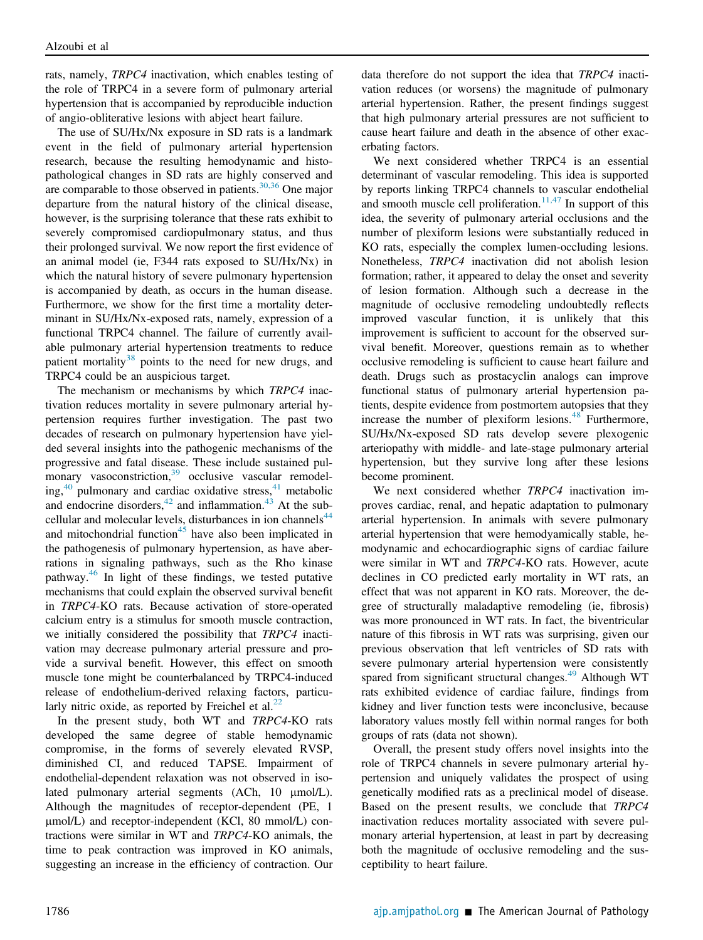rats, namely, TRPC4 inactivation, which enables testing of the role of TRPC4 in a severe form of pulmonary arterial hypertension that is accompanied by reproducible induction of angio-obliterative lesions with abject heart failure.

The use of SU/Hx/Nx exposure in SD rats is a landmark event in the field of pulmonary arterial hypertension research, because the resulting hemodynamic and histopathological changes in SD rats are highly conserved and are comparable to those observed in patients. $30,36$  One major departure from the natural history of the clinical disease, however, is the surprising tolerance that these rats exhibit to severely compromised cardiopulmonary status, and thus their prolonged survival. We now report the first evidence of an animal model (ie, F344 rats exposed to SU/Hx/Nx) in which the natural history of severe pulmonary hypertension is accompanied by death, as occurs in the human disease. Furthermore, we show for the first time a mortality determinant in SU/Hx/Nx-exposed rats, namely, expression of a functional TRPC4 channel. The failure of currently available pulmonary arterial hypertension treatments to reduce patient mortality<sup>38</sup> points to the need for new drugs, and TRPC4 could be an auspicious target.

The mechanism or mechanisms by which TRPC4 inactivation reduces mortality in severe pulmonary arterial hypertension requires further investigation. The past two decades of research on pulmonary hypertension have yielded several insights into the pathogenic mechanisms of the progressive and fatal disease. These include sustained pulmonary vasoconstriction,<sup>39</sup> occlusive vascular remodeling,<sup>40</sup> pulmonary and cardiac oxidative stress,<sup>41</sup> metabolic and endocrine disorders, $42$  and inflammation. $43$  At the subcellular and molecular levels, disturbances in ion channels<sup>44</sup> and mitochondrial function<sup>45</sup> have also been implicated in the pathogenesis of pulmonary hypertension, as have aberrations in signaling pathways, such as the Rho kinase pathway.<sup>46</sup> In light of these findings, we tested putative mechanisms that could explain the observed survival benefit in TRPC4-KO rats. Because activation of store-operated calcium entry is a stimulus for smooth muscle contraction, we initially considered the possibility that TRPC4 inactivation may decrease pulmonary arterial pressure and provide a survival benefit. However, this effect on smooth muscle tone might be counterbalanced by TRPC4-induced release of endothelium-derived relaxing factors, particularly nitric oxide, as reported by Freichel et al. $^{22}$ 

In the present study, both WT and TRPC4-KO rats developed the same degree of stable hemodynamic compromise, in the forms of severely elevated RVSP, diminished CI, and reduced TAPSE. Impairment of endothelial-dependent relaxation was not observed in isolated pulmonary arterial segments (ACh, 10 µmol/L). Although the magnitudes of receptor-dependent (PE, 1 mmol/L) and receptor-independent (KCl, 80 mmol/L) contractions were similar in WT and TRPC4-KO animals, the time to peak contraction was improved in KO animals, suggesting an increase in the efficiency of contraction. Our

data therefore do not support the idea that TRPC4 inactivation reduces (or worsens) the magnitude of pulmonary arterial hypertension. Rather, the present findings suggest that high pulmonary arterial pressures are not sufficient to cause heart failure and death in the absence of other exacerbating factors.

We next considered whether TRPC4 is an essential determinant of vascular remodeling. This idea is supported by reports linking TRPC4 channels to vascular endothelial and smooth muscle cell proliferation.<sup>11,47</sup> In support of this idea, the severity of pulmonary arterial occlusions and the number of plexiform lesions were substantially reduced in KO rats, especially the complex lumen-occluding lesions. Nonetheless, TRPC4 inactivation did not abolish lesion formation; rather, it appeared to delay the onset and severity of lesion formation. Although such a decrease in the magnitude of occlusive remodeling undoubtedly reflects improved vascular function, it is unlikely that this improvement is sufficient to account for the observed survival benefit. Moreover, questions remain as to whether occlusive remodeling is sufficient to cause heart failure and death. Drugs such as prostacyclin analogs can improve functional status of pulmonary arterial hypertension patients, despite evidence from postmortem autopsies that they increase the number of plexiform lesions. $48$  Furthermore, SU/Hx/Nx-exposed SD rats develop severe plexogenic arteriopathy with middle- and late-stage pulmonary arterial hypertension, but they survive long after these lesions become prominent.

We next considered whether TRPC4 inactivation improves cardiac, renal, and hepatic adaptation to pulmonary arterial hypertension. In animals with severe pulmonary arterial hypertension that were hemodyamically stable, hemodynamic and echocardiographic signs of cardiac failure were similar in WT and TRPC4-KO rats. However, acute declines in CO predicted early mortality in WT rats, an effect that was not apparent in KO rats. Moreover, the degree of structurally maladaptive remodeling (ie, fibrosis) was more pronounced in WT rats. In fact, the biventricular nature of this fibrosis in WT rats was surprising, given our previous observation that left ventricles of SD rats with severe pulmonary arterial hypertension were consistently spared from significant structural changes.<sup>49</sup> Although WT rats exhibited evidence of cardiac failure, findings from kidney and liver function tests were inconclusive, because laboratory values mostly fell within normal ranges for both groups of rats (data not shown).

Overall, the present study offers novel insights into the role of TRPC4 channels in severe pulmonary arterial hypertension and uniquely validates the prospect of using genetically modified rats as a preclinical model of disease. Based on the present results, we conclude that TRPC4 inactivation reduces mortality associated with severe pulmonary arterial hypertension, at least in part by decreasing both the magnitude of occlusive remodeling and the susceptibility to heart failure.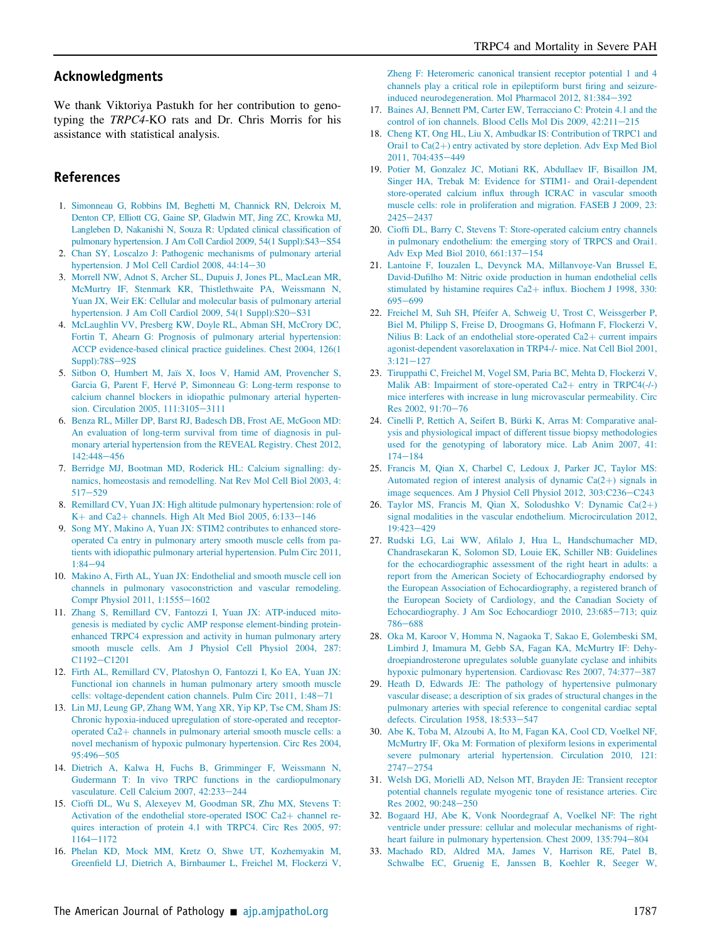## Acknowledgments

We thank Viktoriya Pastukh for her contribution to genotyping the TRPC4-KO rats and Dr. Chris Morris for his assistance with statistical analysis.

## References

- 1. Simonneau G, Robbins IM, Beghetti M, Channick RN, Delcroix M, Denton CP, Elliott CG, Gaine SP, Gladwin MT, Jing ZC, Krowka MJ, Langleben D, Nakanishi N, Souza R: Updated clinical classification of pulmonary hypertension. J Am Coll Cardiol 2009, 54(1 Suppl):S43-S54
- 2. Chan SY, Loscalzo J: Pathogenic mechanisms of pulmonary arterial hypertension. J Mol Cell Cardiol 2008, 44:14-30
- 3. Morrell NW, Adnot S, Archer SL, Dupuis J, Jones PL, MacLean MR, McMurtry IF, Stenmark KR, Thistlethwaite PA, Weissmann N, Yuan JX, Weir EK: Cellular and molecular basis of pulmonary arterial hypertension. J Am Coll Cardiol 2009, 54(1 Suppl):S20-S31
- 4. McLaughlin VV, Presberg KW, Doyle RL, Abman SH, McCrory DC, Fortin T, Ahearn G: Prognosis of pulmonary arterial hypertension: ACCP evidence-based clinical practice guidelines. Chest 2004, 126(1  $Supp1$ :78S $-92$ S
- 5. Sitbon O, Humbert M, Jaïs X, Ioos V, Hamid AM, Provencher S, Garcia G, Parent F, Hervé P, Simonneau G: Long-term response to calcium channel blockers in idiopathic pulmonary arterial hypertension. Circulation 2005, 111:3105-3111
- 6. Benza RL, Miller DP, Barst RJ, Badesch DB, Frost AE, McGoon MD: An evaluation of long-term survival from time of diagnosis in pulmonary arterial hypertension from the REVEAL Registry. Chest 2012, 142:448-456
- 7. Berridge MJ, Bootman MD, Roderick HL: Calcium signalling: dynamics, homeostasis and remodelling. Nat Rev Mol Cell Biol 2003, 4:  $517 - 529$
- 8. Remillard CV, Yuan JX: High altitude pulmonary hypertension: role of K+ and Ca2+ channels. High Alt Med Biol 2005,  $6:133-146$
- 9. Song MY, Makino A, Yuan JX: STIM2 contributes to enhanced storeoperated Ca entry in pulmonary artery smooth muscle cells from patients with idiopathic pulmonary arterial hypertension. Pulm Circ 2011,  $1.84 - 94$
- 10. Makino A, Firth AL, Yuan JX: Endothelial and smooth muscle cell ion channels in pulmonary vasoconstriction and vascular remodeling. Compr Physiol 2011, 1:1555-1602
- 11. Zhang S, Remillard CV, Fantozzi I, Yuan JX: ATP-induced mitogenesis is mediated by cyclic AMP response element-binding proteinenhanced TRPC4 expression and activity in human pulmonary artery smooth muscle cells. Am J Physiol Cell Physiol 2004, 287: C1192-C1201
- 12. Firth AL, Remillard CV, Platoshyn O, Fantozzi I, Ko EA, Yuan JX: Functional ion channels in human pulmonary artery smooth muscle cells: voltage-dependent cation channels. Pulm Circ  $2011$ ,  $1:48-71$
- 13. Lin MJ, Leung GP, Zhang WM, Yang XR, Yip KP, Tse CM, Sham JS: Chronic hypoxia-induced upregulation of store-operated and receptoroperated  $Ca2+$  channels in pulmonary arterial smooth muscle cells: a novel mechanism of hypoxic pulmonary hypertension. Circ Res 2004, 95:496-505
- 14. Dietrich A, Kalwa H, Fuchs B, Grimminger F, Weissmann N, Gudermann T: In vivo TRPC functions in the cardiopulmonary vasculature. Cell Calcium 2007, 42:233-244
- 15. Cioffi DL, Wu S, Alexeyev M, Goodman SR, Zhu MX, Stevens T: Activation of the endothelial store-operated ISOC Ca2+ channel requires interaction of protein 4.1 with TRPC4. Circ Res 2005, 97: 1164-1172
- 16. Phelan KD, Mock MM, Kretz O, Shwe UT, Kozhemyakin M, Greenfield LJ, Dietrich A, Birnbaumer L, Freichel M, Flockerzi V,

Zheng F: Heteromeric canonical transient receptor potential 1 and 4 channels play a critical role in epileptiform burst firing and seizureinduced neurodegeneration. Mol Pharmacol 2012, 81:384-392

- 17. Baines AJ, Bennett PM, Carter EW, Terracciano C: Protein 4.1 and the control of ion channels. Blood Cells Mol Dis 2009, 42:211-215
- 18. Cheng KT, Ong HL, Liu X, Ambudkar IS: Contribution of TRPC1 and Orai1 to  $Ca(2+)$  entry activated by store depletion. Adv Exp Med Biol 2011, 704:435-449
- 19. Potier M, Gonzalez JC, Motiani RK, Abdullaev IF, Bisaillon JM, Singer HA, Trebak M: Evidence for STIM1- and Orai1-dependent store-operated calcium influx through ICRAC in vascular smooth muscle cells: role in proliferation and migration. FASEB J 2009, 23:  $2425 - 2437$
- 20. Cioffi DL, Barry C, Stevens T: Store-operated calcium entry channels in pulmonary endothelium: the emerging story of TRPCS and Orai1. Adv Exp Med Biol 2010, 661:137-154
- 21. Lantoine F, Iouzalen L, Devynck MA, Millanvoye-Van Brussel E, David-Dufilho M: Nitric oxide production in human endothelial cells stimulated by histamine requires Ca2+ influx. Biochem J 1998, 330: 695-699
- 22. Freichel M, Suh SH, Pfeifer A, Schweig U, Trost C, Weissgerber P, Biel M, Philipp S, Freise D, Droogmans G, Hofmann F, Flockerzi V, Nilius B: Lack of an endothelial store-operated  $Ca2+$  current impairs agonist-dependent vasorelaxation in TRP4-/- mice. Nat Cell Biol 2001,  $3:121 - 127$
- 23. Tiruppathi C, Freichel M, Vogel SM, Paria BC, Mehta D, Flockerzi V, Malik AB: Impairment of store-operated Ca2+ entry in TRPC4(-/-) mice interferes with increase in lung microvascular permeability. Circ Res 2002, 91:70-76
- 24. Cinelli P, Rettich A, Seifert B, Bürki K, Arras M: Comparative analysis and physiological impact of different tissue biopsy methodologies used for the genotyping of laboratory mice. Lab Anim 2007, 41:  $174 - 184$
- 25. Francis M, Qian X, Charbel C, Ledoux J, Parker JC, Taylor MS: Automated region of interest analysis of dynamic  $Ca(2+)$  signals in image sequences. Am J Physiol Cell Physiol 2012, 303:C236-C243
- 26. Taylor MS, Francis M, Qian X, Solodushko V: Dynamic Ca $(2+)$ signal modalities in the vascular endothelium. Microcirculation 2012, 19:423-429
- 27. Rudski LG, Lai WW, Afilalo J, Hua L, Handschumacher MD, Chandrasekaran K, Solomon SD, Louie EK, Schiller NB: Guidelines for the echocardiographic assessment of the right heart in adults: a report from the American Society of Echocardiography endorsed by the European Association of Echocardiography, a registered branch of the European Society of Cardiology, and the Canadian Society of Echocardiography. J Am Soc Echocardiogr 2010, 23:685-713; quiz 786-688
- 28. Oka M, Karoor V, Homma N, Nagaoka T, Sakao E, Golembeski SM, Limbird J, Imamura M, Gebb SA, Fagan KA, McMurtry IF: Dehydroepiandrosterone upregulates soluble guanylate cyclase and inhibits hypoxic pulmonary hypertension. Cardiovasc Res 2007, 74:377-387
- 29. Heath D, Edwards JE: The pathology of hypertensive pulmonary vascular disease; a description of six grades of structural changes in the pulmonary arteries with special reference to congenital cardiac septal defects. Circulation 1958, 18:533-547
- 30. Abe K, Toba M, Alzoubi A, Ito M, Fagan KA, Cool CD, Voelkel NF, McMurtry IF, Oka M: Formation of plexiform lesions in experimental severe pulmonary arterial hypertension. Circulation 2010, 121:  $2747 - 2754$
- 31. Welsh DG, Morielli AD, Nelson MT, Brayden JE: Transient receptor potential channels regulate myogenic tone of resistance arteries. Circ Res 2002, 90:248-250
- 32. Bogaard HJ, Abe K, Vonk Noordegraaf A, Voelkel NF: The right ventricle under pressure: cellular and molecular mechanisms of rightheart failure in pulmonary hypertension. Chest 2009, 135:794-804
- 33. Machado RD, Aldred MA, James V, Harrison RE, Patel B, Schwalbe EC, Gruenig E, Janssen B, Koehler R, Seeger W,